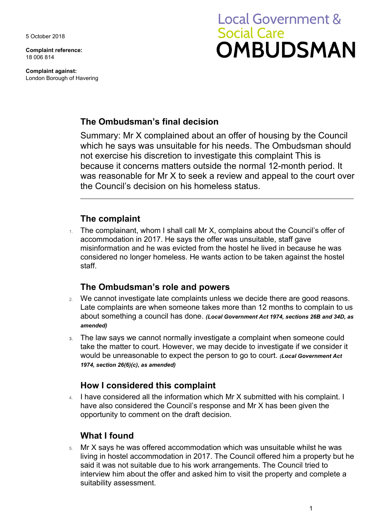5 October 2018

**Complaint reference:**  18 006 814

**Complaint against:**  London Borough of Havering

# **Local Government & Social Care OMBUDSMAN**

## **The Ombudsman's final decision**

 because it concerns matters outside the normal 12-month period. It Summary: Mr X complained about an offer of housing by the Council which he says was unsuitable for his needs. The Ombudsman should not exercise his discretion to investigate this complaint This is was reasonable for Mr X to seek a review and appeal to the court over the Council's decision on his homeless status.

## **The complaint**

1. The complainant, whom I shall call Mr X, complains about the Council's offer of accommodation in 2017. He says the offer was unsuitable, staff gave misinformation and he was evicted from the hostel he lived in because he was considered no longer homeless. He wants action to be taken against the hostel staff.

## **The Ombudsman's role and powers**

- Late complaints are when someone takes more than 12 months to complain to us 2. We cannot investigate late complaints unless we decide there are good reasons. about something a council has done. *(Local Government Act 1974, sections 26B and 34D, as amended)*
- would be unreasonable to expect the person to go to court. *(Local Government Act*  **3.** The law says we cannot normally investigate a complaint when someone could take the matter to court. However, we may decide to investigate if we consider it *1974, section 26(6)(c), as amended)*

### **How I considered this complaint**

4. I have considered all the information which Mr X submitted with his complaint. I have also considered the Council's response and Mr X has been given the opportunity to comment on the draft decision.

## **What I found**

 5. Mr X says he was offered accommodation which was unsuitable whilst he was interview him about the offer and asked him to visit the property and complete a living in hostel accommodation in 2017. The Council offered him a property but he said it was not suitable due to his work arrangements. The Council tried to suitability assessment.